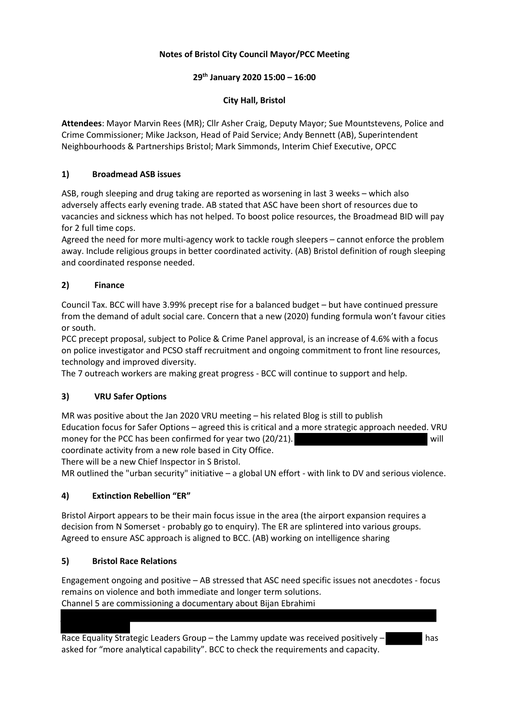# **Notes of Bristol City Council Mayor/PCC Meeting**

## **29th January 2020 15:00 – 16:00**

# **City Hall, Bristol**

**Attendees**: Mayor Marvin Rees (MR); Cllr Asher Craig, Deputy Mayor; Sue Mountstevens, Police and Crime Commissioner; Mike Jackson, Head of Paid Service; Andy Bennett (AB), Superintendent Neighbourhoods & Partnerships Bristol; Mark Simmonds, Interim Chief Executive, OPCC

# **1) Broadmead ASB issues**

ASB, rough sleeping and drug taking are reported as worsening in last 3 weeks – which also adversely affects early evening trade. AB stated that ASC have been short of resources due to vacancies and sickness which has not helped. To boost police resources, the Broadmead BID will pay for 2 full time cops.

Agreed the need for more multi-agency work to tackle rough sleepers – cannot enforce the problem away. Include religious groups in better coordinated activity. (AB) Bristol definition of rough sleeping and coordinated response needed.

# **2) Finance**

Council Tax. BCC will have 3.99% precept rise for a balanced budget – but have continued pressure from the demand of adult social care. Concern that a new (2020) funding formula won't favour cities or south.

PCC precept proposal, subject to Police & Crime Panel approval, is an increase of 4.6% with a focus on police investigator and PCSO staff recruitment and ongoing commitment to front line resources, technology and improved diversity.

The 7 outreach workers are making great progress - BCC will continue to support and help.

## **3) VRU Safer Options**

MR was positive about the Jan 2020 VRU meeting – his related Blog is still to publish Education focus for Safer Options – agreed this is critical and a more strategic approach needed. VRU money for the PCC has been confirmed for year two (20/21). will coordinate activity from a new role based in City Office.

There will be a new Chief Inspector in S Bristol.

MR outlined the "urban security" initiative – a global UN effort - with link to DV and serious violence.

## **4) Extinction Rebellion "ER"**

Bristol Airport appears to be their main focus issue in the area (the airport expansion requires a decision from N Somerset - probably go to enquiry). The ER are splintered into various groups. Agreed to ensure ASC approach is aligned to BCC. (AB) working on intelligence sharing

## **5) Bristol Race Relations**

Engagement ongoing and positive – AB stressed that ASC need specific issues not anecdotes - focus remains on violence and both immediate and longer term solutions. Channel 5 are commissioning a documentary about Bijan Ebrahimi

Race Equality Strategic Leaders Group – the Lammy update was received positively – has asked for "more analytical capability". BCC to check the requirements and capacity.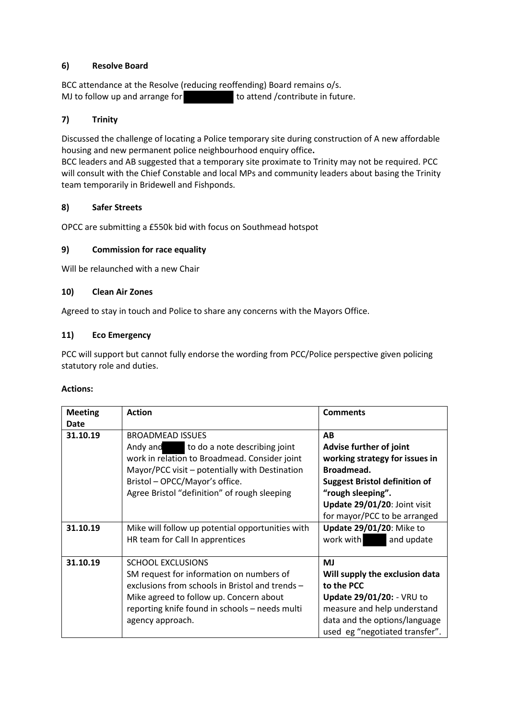## **6) Resolve Board**

BCC attendance at the Resolve (reducing reoffending) Board remains o/s. MJ to follow up and arrange for the stead /contribute in future.

#### **7) Trinity**

Discussed the challenge of locating a Police temporary site during construction of A new affordable housing and new permanent police neighbourhood enquiry office**.** 

BCC leaders and AB suggested that a temporary site proximate to Trinity may not be required. PCC will consult with the Chief Constable and local MPs and community leaders about basing the Trinity team temporarily in Bridewell and Fishponds.

#### **8) Safer Streets**

OPCC are submitting a £550k bid with focus on Southmead hotspot

#### **9) Commission for race equality**

Will be relaunched with a new Chair

#### **10) Clean Air Zones**

Agreed to stay in touch and Police to share any concerns with the Mayors Office.

#### **11) Eco Emergency**

PCC will support but cannot fully endorse the wording from PCC/Police perspective given policing statutory role and duties.

#### **Actions:**

| <b>Meeting</b> | <b>Action</b>                                                                                                                                                                                                                                             | <b>Comments</b>                                                                                                                                                                                            |
|----------------|-----------------------------------------------------------------------------------------------------------------------------------------------------------------------------------------------------------------------------------------------------------|------------------------------------------------------------------------------------------------------------------------------------------------------------------------------------------------------------|
| Date           |                                                                                                                                                                                                                                                           |                                                                                                                                                                                                            |
| 31.10.19       | <b>BROADMEAD ISSUES</b><br>to do a note describing joint<br>Andy and<br>work in relation to Broadmead. Consider joint<br>Mayor/PCC visit – potentially with Destination<br>Bristol - OPCC/Mayor's office.<br>Agree Bristol "definition" of rough sleeping | AB<br>Advise further of joint<br>working strategy for issues in<br>Broadmead.<br><b>Suggest Bristol definition of</b><br>"rough sleeping".<br>Update 29/01/20: Joint visit<br>for mayor/PCC to be arranged |
| 31.10.19       | Mike will follow up potential opportunities with<br>HR team for Call In apprentices                                                                                                                                                                       | <b>Update 29/01/20: Mike to</b><br>work with<br>and update                                                                                                                                                 |
| 31.10.19       | <b>SCHOOL EXCLUSIONS</b><br>SM request for information on numbers of<br>exclusions from schools in Bristol and trends -<br>Mike agreed to follow up. Concern about<br>reporting knife found in schools - needs multi<br>agency approach.                  | <b>MJ</b><br>Will supply the exclusion data<br>to the PCC<br>Update 29/01/20: - VRU to<br>measure and help understand<br>data and the options/language<br>used eg "negotiated transfer".                   |